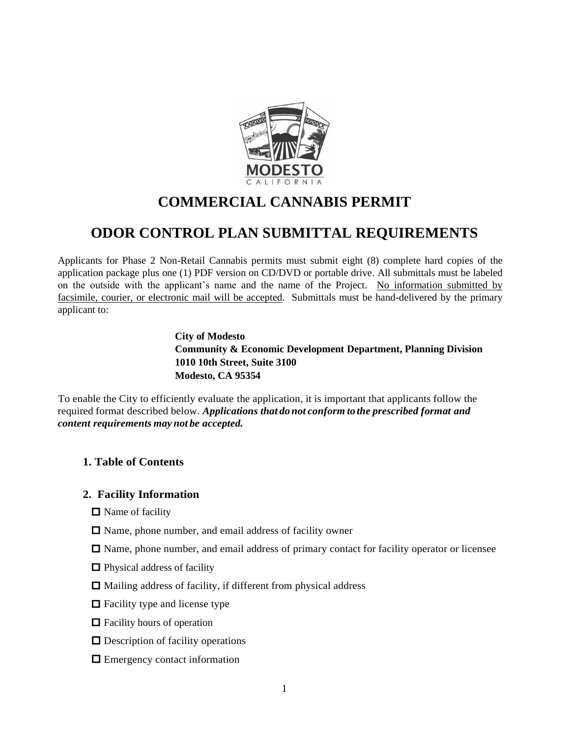

# **COMMERCIAL CANNABIS PERMIT**

# **ODOR CONTROL PLAN SUBMITTAL REQUIREMENTS**

Applicants for Phase 2 Non-Retail Cannabis permits must submit eight (8) complete hard copies of the application package plus one (1) PDF version on CD/DVD or portable drive. All submittals must be labeled on the outside with the applicant's name and the name of the Project. No information submitted by facsimile, courier, or electronic mail will be accepted. Submittals must be hand-delivered by the primary applicant to:

> **City of Modesto Community & Economic Development Department, Planning Division 1010 10th Street, Suite 3100 Modesto, CA 95354**

To enable the City to efficiently evaluate the application, it is important that applicants follow the required format described below. *Applications that donot conform to the prescribed format and content requirements may not be accepted.*

## **1. Table of Contents**

## **2. Facility Information**

- $\Box$  Name of facility
- $\Box$  Name, phone number, and email address of facility owner
- $\Box$  Name, phone number, and email address of primary contact for facility operator or licensee
- $\Box$  Physical address of facility
- $\Box$  Mailing address of facility, if different from physical address
- $\Box$  Facility type and license type
- $\Box$  Facility hours of operation
- $\Box$  Description of facility operations
- $\Box$  Emergency contact information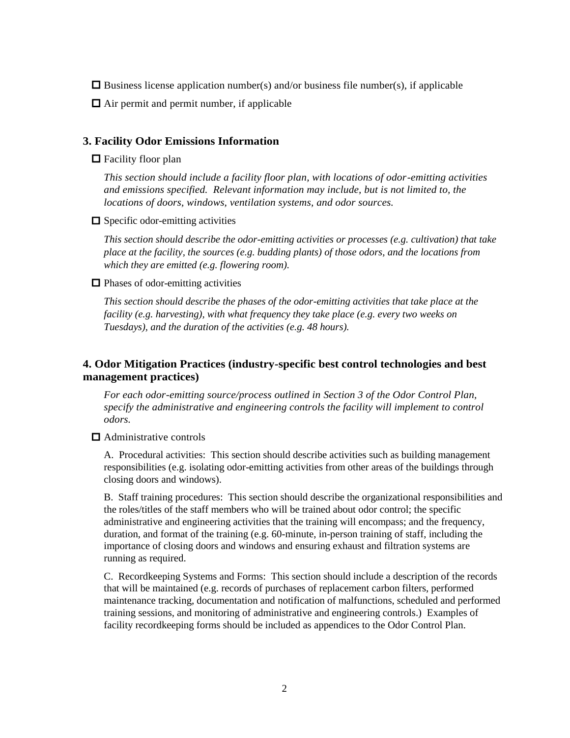- $\Box$  Business license application number(s) and/or business file number(s), if applicable
- $\Box$  Air permit and permit number, if applicable

#### **3. Facility Odor Emissions Information**

#### $\Box$  Facility floor plan

*This section should include a facility floor plan, with locations of odor-emitting activities and emissions specified. Relevant information may include, but is not limited to, the locations of doors, windows, ventilation systems, and odor sources.*

 $\Box$  Specific odor-emitting activities

*This section should describe the odor-emitting activities or processes (e.g. cultivation) that take place at the facility, the sources (e.g. budding plants) of those odors, and the locations from which they are emitted (e.g. flowering room).*

#### $\Box$  Phases of odor-emitting activities

*This section should describe the phases of the odor-emitting activities that take place at the facility (e.g. harvesting), with what frequency they take place (e.g. every two weeks on Tuesdays), and the duration of the activities (e.g. 48 hours).*

## **4. Odor Mitigation Practices (industry-specific best control technologies and best management practices)**

*For each odor-emitting source/process outlined in Section 3 of the Odor Control Plan, specify the administrative and engineering controls the facility will implement to control odors.*

### $\Box$  Administrative controls

A. Procedural activities: This section should describe activities such as building management responsibilities (e.g. isolating odor-emitting activities from other areas of the buildings through closing doors and windows).

B. Staff training procedures: This section should describe the organizational responsibilities and the roles/titles of the staff members who will be trained about odor control; the specific administrative and engineering activities that the training will encompass; and the frequency, duration, and format of the training (e.g. 60-minute, in-person training of staff, including the importance of closing doors and windows and ensuring exhaust and filtration systems are running as required.

C. Recordkeeping Systems and Forms: This section should include a description of the records that will be maintained (e.g. records of purchases of replacement carbon filters, performed maintenance tracking, documentation and notification of malfunctions, scheduled and performed training sessions, and monitoring of administrative and engineering controls.) Examples of facility recordkeeping forms should be included as appendices to the Odor Control Plan.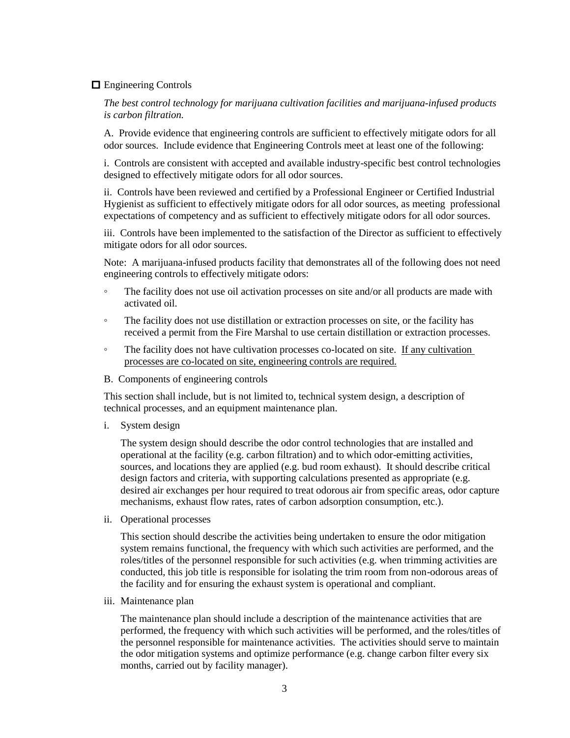### **E**ngineering Controls

*The best control technology for marijuana cultivation facilities and marijuana-infused products is carbon filtration.*

A. Provide evidence that engineering controls are sufficient to effectively mitigate odors for all odor sources. Include evidence that Engineering Controls meet at least one of the following:

i. Controls are consistent with accepted and available industry-specific best control technologies designed to effectively mitigate odors for all odor sources.

ii. Controls have been reviewed and certified by a Professional Engineer or Certified Industrial Hygienist as sufficient to effectively mitigate odors for all odor sources, as meeting professional expectations of competency and as sufficient to effectively mitigate odors for all odor sources.

iii. Controls have been implemented to the satisfaction of the Director as sufficient to effectively mitigate odors for all odor sources.

Note: A marijuana-infused products facility that demonstrates all of the following does not need engineering controls to effectively mitigate odors:

- The facility does not use oil activation processes on site and/or all products are made with activated oil.
- The facility does not use distillation or extraction processes on site, or the facility has received a permit from the Fire Marshal to use certain distillation or extraction processes.
- The facility does not have cultivation processes co-located on site. If any cultivation processes are co-located on site, engineering controls are required.
- B. Components of engineering controls

This section shall include, but is not limited to, technical system design, a description of technical processes, and an equipment maintenance plan.

i. System design

The system design should describe the odor control technologies that are installed and operational at the facility (e.g. carbon filtration) and to which odor-emitting activities, sources, and locations they are applied (e.g. bud room exhaust). It should describe critical design factors and criteria, with supporting calculations presented as appropriate (e.g. desired air exchanges per hour required to treat odorous air from specific areas, odor capture mechanisms, exhaust flow rates, rates of carbon adsorption consumption, etc.).

ii. Operational processes

This section should describe the activities being undertaken to ensure the odor mitigation system remains functional, the frequency with which such activities are performed, and the roles/titles of the personnel responsible for such activities (e.g. when trimming activities are conducted, this job title is responsible for isolating the trim room from non-odorous areas of the facility and for ensuring the exhaust system is operational and compliant.

iii. Maintenance plan

The maintenance plan should include a description of the maintenance activities that are performed, the frequency with which such activities will be performed, and the roles/titles of the personnel responsible for maintenance activities. The activities should serve to maintain the odor mitigation systems and optimize performance (e.g. change carbon filter every six months, carried out by facility manager).